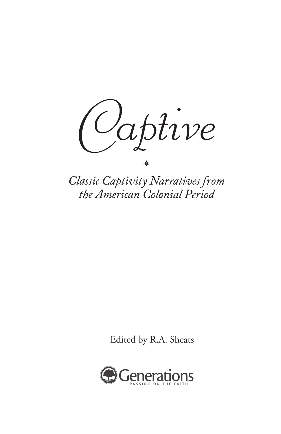

**Classic Captivity Narratives from** the American Colonial Period

Edited by R.A. Sheats

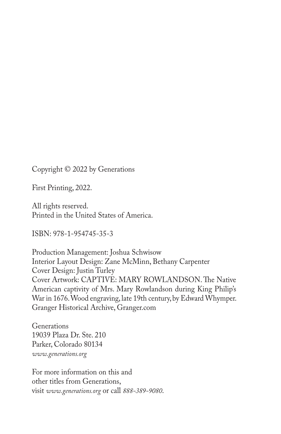Copyright © 2022 by Generations

First Printing, 2022.

All rights reserved. Printed in the United States of America.

ISBN: 978-1-954745-35-3

Production Management: Joshua Schwisow Interior Layout Design: Zane McMinn, Bethany Carpenter Cover Design: Justin Turley Cover Artwork: CAPTIVE: MARY ROWLANDSON. The Native American captivity of Mrs. Mary Rowlandson during King Philip's War in 1676. Wood engraving, late 19th century, by Edward Whymper. Granger Historical Archive, Granger.com

Generations 19039 Plaza Dr. Ste. 210 Parker, Colorado 80134 *www.generations.org*

For more information on this and other titles from Generations, visit *www.generations.org* or call *888-389-9080*.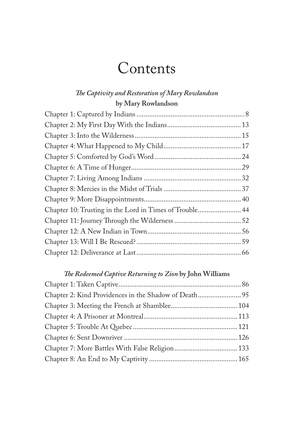### **Contents**

#### *The Captivity and Restoration of Mary Rowlandson* **by Mary Rowlandson**

| Chapter 10: Trusting in the Lord in Times of Trouble 44 |  |
|---------------------------------------------------------|--|
|                                                         |  |
|                                                         |  |
|                                                         |  |
|                                                         |  |

#### *The Redeemed Captive Returning to Zion* **by John Williams**

| Chapter 2: Kind Providences in the Shadow of Death 95 |  |
|-------------------------------------------------------|--|
|                                                       |  |
|                                                       |  |
|                                                       |  |
|                                                       |  |
|                                                       |  |
|                                                       |  |
|                                                       |  |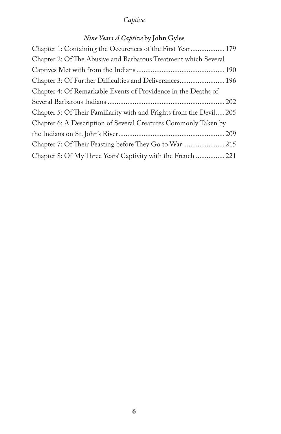#### *Nine Years A Captive* **by John Gyles**

| Chapter 1: Containing the Occurences of the First Year 179         |  |
|--------------------------------------------------------------------|--|
| Chapter 2: Of The Abusive and Barbarous Treatment which Several    |  |
|                                                                    |  |
| Chapter 3: Of Further Difficulties and Deliverances 196            |  |
| Chapter 4: Of Remarkable Events of Providence in the Deaths of     |  |
|                                                                    |  |
| Chapter 5: Of Their Familiarity with and Frights from the Devil205 |  |
| Chapter 6: A Description of Several Creatures Commonly Taken by    |  |
|                                                                    |  |
| Chapter 7: Of Their Feasting before They Go to War 215             |  |
| Chapter 8: Of My Three Years' Captivity with the French  221       |  |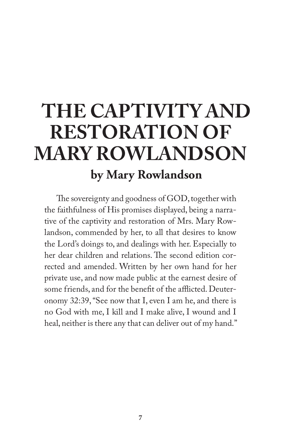### **by Mary Rowlandson THE CAPTIVITY AND RESTORATION OF MARY ROWLANDSON**

The sovereignty and goodness of GOD, together with the faithfulness of His promises displayed, being a narrative of the captivity and restoration of Mrs. Mary Rowlandson, commended by her, to all that desires to know the Lord's doings to, and dealings with her. Especially to her dear children and relations. The second edition corrected and amended. Written by her own hand for her private use, and now made public at the earnest desire of some friends, and for the benefit of the afflicted. Deuteronomy 32:39, "See now that I, even I am he, and there is no God with me, I kill and I make alive, I wound and I heal, neither is there any that can deliver out of my hand."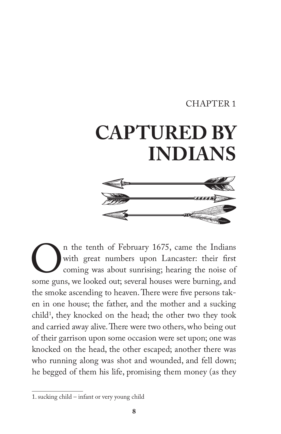#### CHAPTER 1

# **CAPTURED BY INDIANS**



The tenth of February 1675, came the Indians<br>with great numbers upon Lancaster: their first<br>coming was about sunrising; hearing the noise of<br>some guns, we looked out; several houses were burning, and with great numbers upon Lancaster: their first coming was about sunrising; hearing the noise of some guns, we looked out; several houses were burning, and the smoke ascending to heaven. There were five persons taken in one house; the father, and the mother and a sucking child<sup>1</sup>, they knocked on the head; the other two they took and carried away alive. There were two others, who being out of their garrison upon some occasion were set upon; one was knocked on the head, the other escaped; another there was who running along was shot and wounded, and fell down; he begged of them his life, promising them money (as they

<sup>1.</sup> sucking child – infant or very young child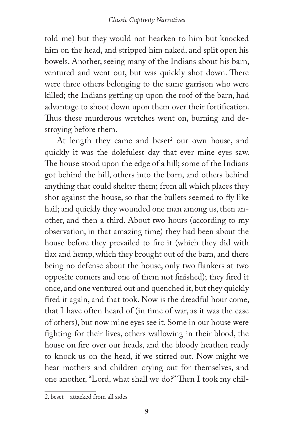told me) but they would not hearken to him but knocked him on the head, and stripped him naked, and split open his bowels. Another, seeing many of the Indians about his barn, ventured and went out, but was quickly shot down. There were three others belonging to the same garrison who were killed; the Indians getting up upon the roof of the barn, had advantage to shoot down upon them over their fortification. Thus these murderous wretches went on, burning and destroying before them.

At length they came and beset<sup>2</sup> our own house, and quickly it was the dolefulest day that ever mine eyes saw. The house stood upon the edge of a hill; some of the Indians got behind the hill, others into the barn, and others behind anything that could shelter them; from all which places they shot against the house, so that the bullets seemed to fly like hail; and quickly they wounded one man among us, then another, and then a third. About two hours (according to my observation, in that amazing time) they had been about the house before they prevailed to fire it (which they did with flax and hemp, which they brought out of the barn, and there being no defense about the house, only two flankers at two opposite corners and one of them not finished); they fired it once, and one ventured out and quenched it, but they quickly fired it again, and that took. Now is the dreadful hour come, that I have often heard of (in time of war, as it was the case of others), but now mine eyes see it. Some in our house were fighting for their lives, others wallowing in their blood, the house on fire over our heads, and the bloody heathen ready to knock us on the head, if we stirred out. Now might we hear mothers and children crying out for themselves, and one another, "Lord, what shall we do?" Then I took my chil-

<sup>2.</sup> beset – attacked from all sides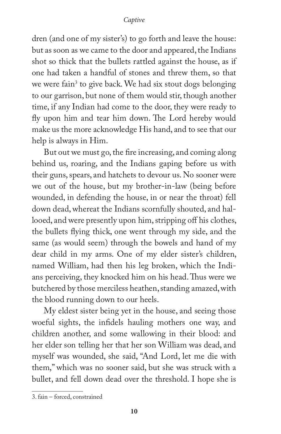dren (and one of my sister's) to go forth and leave the house: but as soon as we came to the door and appeared, the Indians shot so thick that the bullets rattled against the house, as if one had taken a handful of stones and threw them, so that we were fain<sup>3</sup> to give back. We had six stout dogs belonging to our garrison, but none of them would stir, though another time, if any Indian had come to the door, they were ready to fly upon him and tear him down. The Lord hereby would make us the more acknowledge His hand, and to see that our help is always in Him.

But out we must go, the fire increasing, and coming along behind us, roaring, and the Indians gaping before us with their guns, spears, and hatchets to devour us. No sooner were we out of the house, but my brother-in-law (being before wounded, in defending the house, in or near the throat) fell down dead, whereat the Indians scornfully shouted, and hallooed, and were presently upon him, stripping off his clothes, the bullets flying thick, one went through my side, and the same (as would seem) through the bowels and hand of my dear child in my arms. One of my elder sister's children, named William, had then his leg broken, which the Indians perceiving, they knocked him on his head. Thus were we butchered by those merciless heathen, standing amazed, with the blood running down to our heels.

My eldest sister being yet in the house, and seeing those woeful sights, the infidels hauling mothers one way, and children another, and some wallowing in their blood: and her elder son telling her that her son William was dead, and myself was wounded, she said, "And Lord, let me die with them," which was no sooner said, but she was struck with a bullet, and fell down dead over the threshold. I hope she is

<sup>3.</sup> fain – forced, constrained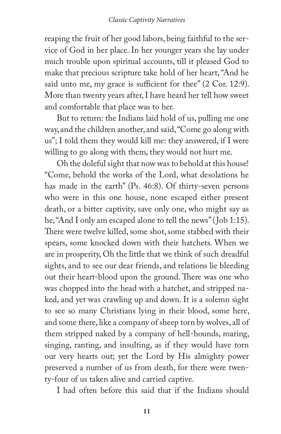reaping the fruit of her good labors, being faithful to the service of God in her place. In her younger years she lay under much trouble upon spiritual accounts, till it pleased God to make that precious scripture take hold of her heart, "And he said unto me, my grace is sufficient for thee" (2 Cor. 12:9). More than twenty years after, I have heard her tell how sweet and comfortable that place was to her.

But to return: the Indians laid hold of us, pulling me one way, and the children another, and said, "Come go along with us"; I told them they would kill me: they answered, if I were willing to go along with them, they would not hurt me.

Oh the doleful sight that now was to behold at this house! "Come, behold the works of the Lord, what desolations he has made in the earth" (Ps. 46:8). Of thirty-seven persons who were in this one house, none escaped either present death, or a bitter captivity, save only one, who might say as he, "And I only am escaped alone to tell the news" (Job 1:15). There were twelve killed, some shot, some stabbed with their spears, some knocked down with their hatchets. When we are in prosperity, Oh the little that we think of such dreadful sights, and to see our dear friends, and relations lie bleeding out their heart-blood upon the ground. There was one who was chopped into the head with a hatchet, and stripped naked, and yet was crawling up and down. It is a solemn sight to see so many Christians lying in their blood, some here, and some there, like a company of sheep torn by wolves, all of them stripped naked by a company of hell-hounds, roaring, singing, ranting, and insulting, as if they would have torn our very hearts out; yet the Lord by His almighty power preserved a number of us from death, for there were twenty-four of us taken alive and carried captive.

I had often before this said that if the Indians should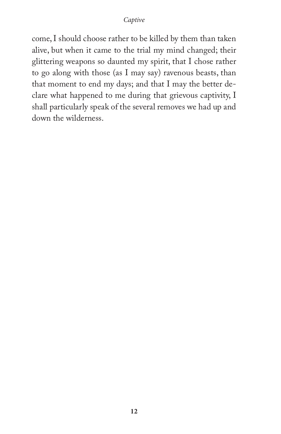come, I should choose rather to be killed by them than taken alive, but when it came to the trial my mind changed; their glittering weapons so daunted my spirit, that I chose rather to go along with those (as I may say) ravenous beasts, than that moment to end my days; and that I may the better declare what happened to me during that grievous captivity, I shall particularly speak of the several removes we had up and down the wilderness.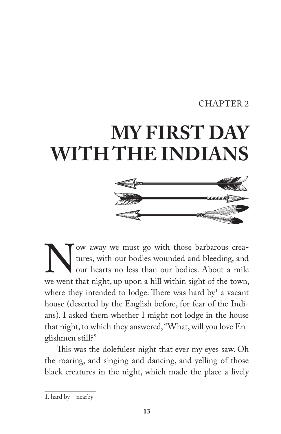#### CHAPTER 2

### **MY FIRST DAY WITH THE INDIANS**



We away we must go with those barbarous crea-<br>tures, with our bodies wounded and bleeding, and<br>our hearts no less than our bodies. About a mile<br>we went that night, up upon a hill within sight of the town, tures, with our bodies wounded and bleeding, and our hearts no less than our bodies. About a mile we went that night, up upon a hill within sight of the town, where they intended to lodge. There was hard by  $a$  vacant house (deserted by the English before, for fear of the Indians). I asked them whether I might not lodge in the house that night, to which they answered, "What, will you love Englishmen still?"

This was the dolefulest night that ever my eyes saw. Oh the roaring, and singing and dancing, and yelling of those black creatures in the night, which made the place a lively

<sup>1.</sup> hard by – nearby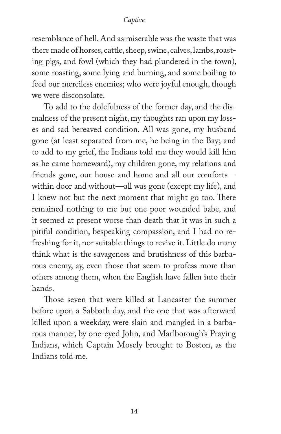resemblance of hell. And as miserable was the waste that was there made of horses, cattle, sheep, swine, calves, lambs, roasting pigs, and fowl (which they had plundered in the town), some roasting, some lying and burning, and some boiling to feed our merciless enemies; who were joyful enough, though we were disconsolate.

To add to the dolefulness of the former day, and the dismalness of the present night, my thoughts ran upon my losses and sad bereaved condition. All was gone, my husband gone (at least separated from me, he being in the Bay; and to add to my grief, the Indians told me they would kill him as he came homeward), my children gone, my relations and friends gone, our house and home and all our comforts within door and without—all was gone (except my life), and I knew not but the next moment that might go too. There remained nothing to me but one poor wounded babe, and it seemed at present worse than death that it was in such a pitiful condition, bespeaking compassion, and I had no refreshing for it, nor suitable things to revive it. Little do many think what is the savageness and brutishness of this barbarous enemy, ay, even those that seem to profess more than others among them, when the English have fallen into their hands.

Those seven that were killed at Lancaster the summer before upon a Sabbath day, and the one that was afterward killed upon a weekday, were slain and mangled in a barbarous manner, by one-eyed John, and Marlborough's Praying Indians, which Captain Mosely brought to Boston, as the Indians told me.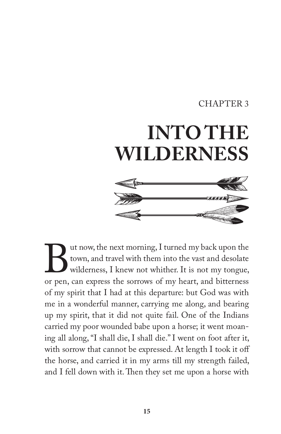#### CHAPTER 3

## **INTO THE WILDERNESS**



But now, the next morning, I turned my back upon the town, and travel with them into the vast and desolate wilderness, I knew not whither. It is not my tongue, or pen, can express the sorrows of my heart, and bitterness town, and travel with them into the vast and desolate wilderness, I knew not whither. It is not my tongue, or pen, can express the sorrows of my heart, and bitterness of my spirit that I had at this departure: but God was with me in a wonderful manner, carrying me along, and bearing up my spirit, that it did not quite fail. One of the Indians carried my poor wounded babe upon a horse; it went moaning all along, "I shall die, I shall die." I went on foot after it, with sorrow that cannot be expressed. At length I took it off the horse, and carried it in my arms till my strength failed, and I fell down with it. Then they set me upon a horse with